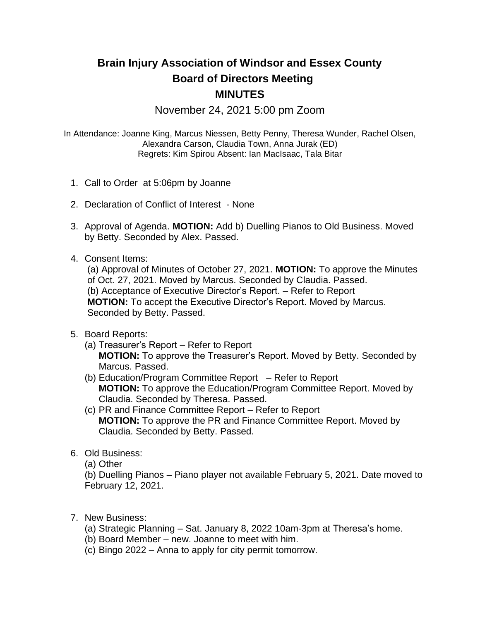## **Brain Injury Association of Windsor and Essex County Board of Directors Meeting MINUTES**

November 24, 2021 5:00 pm Zoom

In Attendance: Joanne King, Marcus Niessen, Betty Penny, Theresa Wunder, Rachel Olsen, Alexandra Carson, Claudia Town, Anna Jurak (ED) Regrets: Kim Spirou Absent: Ian MacIsaac, Tala Bitar

- 1. Call to Order at 5:06pm by Joanne
- 2. Declaration of Conflict of Interest None
- 3. Approval of Agenda. **MOTION:** Add b) Duelling Pianos to Old Business. Moved by Betty. Seconded by Alex. Passed.
- 4. Consent Items:

(a) Approval of Minutes of October 27, 2021. **MOTION:** To approve the Minutes of Oct. 27, 2021. Moved by Marcus. Seconded by Claudia. Passed. (b) Acceptance of Executive Director's Report. – Refer to Report **MOTION:** To accept the Executive Director's Report. Moved by Marcus. Seconded by Betty. Passed.

- 5. Board Reports:
	- (a) Treasurer's Report Refer to Report

**MOTION:** To approve the Treasurer's Report. Moved by Betty. Seconded by Marcus. Passed.

- (b) Education/Program Committee Report Refer to Report **MOTION:** To approve the Education/Program Committee Report. Moved by Claudia. Seconded by Theresa. Passed.
- (c) PR and Finance Committee Report Refer to Report **MOTION:** To approve the PR and Finance Committee Report. Moved by Claudia. Seconded by Betty. Passed.
- 6. Old Business:
	- (a) Other

(b) Duelling Pianos – Piano player not available February 5, 2021. Date moved to February 12, 2021.

- 7. New Business:
	- (a) Strategic Planning Sat. January 8, 2022 10am-3pm at Theresa's home.
	- (b) Board Member new. Joanne to meet with him.
	- (c) Bingo 2022 Anna to apply for city permit tomorrow.